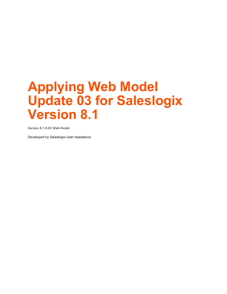**Version 8.1.0.03 Web Model**

Developed by Saleslogix User Assistance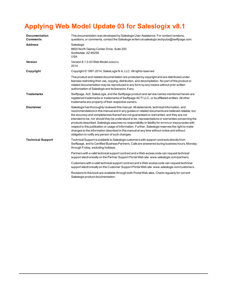| <b>Documentation</b><br><b>Comments</b> | This documentation was developed by Saleslogix User Assistance. For content revisions,<br>questions, or comments, contact the Saleslogix writers at saleslogix techpubs@swiftpage.com.                                                                                                                                                                                                                                                                                                                                                                                                                                                                                                                                                                           |
|-----------------------------------------|------------------------------------------------------------------------------------------------------------------------------------------------------------------------------------------------------------------------------------------------------------------------------------------------------------------------------------------------------------------------------------------------------------------------------------------------------------------------------------------------------------------------------------------------------------------------------------------------------------------------------------------------------------------------------------------------------------------------------------------------------------------|
| <b>Address</b>                          | Saleslogix<br>8800 North Gainey Center Drive, Suite 200<br>Scottsdale, AZ 85258<br><b>USA</b>                                                                                                                                                                                                                                                                                                                                                                                                                                                                                                                                                                                                                                                                    |
| Version                                 | Version 8.1.0.03 Web Model (8/28/2014)<br>2014                                                                                                                                                                                                                                                                                                                                                                                                                                                                                                                                                                                                                                                                                                                   |
| Copyright                               | Copyright © 1997-2014, SalesLogix N.A, LLC. All rights reserved                                                                                                                                                                                                                                                                                                                                                                                                                                                                                                                                                                                                                                                                                                  |
|                                         | This product and related documentation are protected by copyright and are distributed under<br>licenses restricting their use, copying, distribution, and decompilation. No part of this product or<br>related documentation may be reproduced in any form by any means without prior written<br>authorization of Saleslogix and its licensors, if any.                                                                                                                                                                                                                                                                                                                                                                                                          |
| <b>Trademarks</b>                       | Swiftpage, Act!, SalesLogix, and the Swiftpage product and service names mentioned herein are<br>registered trademarks or trademarks of Swiftpage ACT! LLC, or its affiliated entities. All other<br>trademarks are property of their respective owners.                                                                                                                                                                                                                                                                                                                                                                                                                                                                                                         |
| <b>Disclaimer</b>                       | Saleslogix has thoroughly reviewed this manual. All statements, technical information, and<br>recommendations in this manual and in any guides or related documents are believed reliable, but<br>the accuracy and completeness thereof are not guaranteed or warranted, and they are not<br>intended to be, nor should they be understood to be, representations or warranties concerning the<br>products described. Saleslogix assumes no responsibility or liability for errors or inaccuracies with<br>respect to this publication or usage of information. Further, Saleslogix reserves the right to make<br>changes to the information described in this manual at any time without notice and without<br>obligation to notify any person of such changes. |
| <b>Technical Support</b>                | Technical Support is available to Saleslogix customers with support contracts directly from<br>Swiftpage, and to Certified Business Partners. Calls are answered during business hours, Monday<br>through Friday, excluding holidays.                                                                                                                                                                                                                                                                                                                                                                                                                                                                                                                            |
|                                         | Partners with a valid technical support contract and a Web access code can request technical<br>support electronically on the Partner Support Portal Web site: www.saleslogix.com/partners.                                                                                                                                                                                                                                                                                                                                                                                                                                                                                                                                                                      |
|                                         | Customers with a valid technical support contract and a Web access code can request technical<br>support electronically on the Customer Support Portal Web site: www.saleslogix.com/customers.                                                                                                                                                                                                                                                                                                                                                                                                                                                                                                                                                                   |
|                                         | Revisions to this book are available through both Portal Web sites. Check regularly for current<br>Saleslogix product documentation.                                                                                                                                                                                                                                                                                                                                                                                                                                                                                                                                                                                                                             |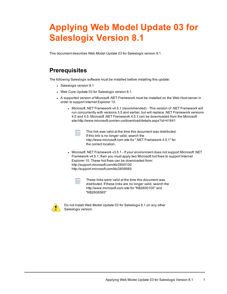This document describes Web Model Update 03 for Saleslogix version 8.1.

## **Prerequisites**

The following Saleslogix software must be installed before installing this update:

- Saleslogix version 8.1
- Web Core Update 03 for Saleslogix version 8.1.
- A supported version of Microsoft .NET [Framework](http://www.microsoft.com/en-us/download/details.aspx?id=30653) must be installed on the Web Host server in order to support Internet [Explorer](http://www.microsoft.com/en-us/download/details.aspx?id=30653) 10.
	- <sup>l</sup> Microsoft .NET Framework v4.5.1 [\(recommended\)](http://www.microsoft.com/en-us/download/details.aspx?id=30653) This version of .NET Framework will run [concurrently](http://www.microsoft.com/en-us/download/details.aspx?id=30653) with versions 3.5 and earlier, but will replace .NET Framework versions 4.0 and 4.5. Microsoft .NET Framework 4.5.1 can be [downloaded](http://www.microsoft.com/en-us/download/details.aspx?id=30653) from the Microsoft [site:http://www.microsoft.com/en-us/download/details.aspx?id=41641](http://www.microsoft.com/en-us/download/details.aspx?id=30653)

- This link was valid at the time this document was distributed. If this link is no longer valid, search the http://www.microsoft.com site for ".NET Framework 4.5.1" for the correct location.
- <sup>l</sup> Microsoft .NET Framework v3.5.1 If your environment does not support Microsoft .NET Framework v4.5.1, then you must apply two Microsoft hot fixes to support Internet Explorer 10. These hot fixes can be downloaded from: http://support.microsoft.com/kb/2600100 http://support.microsoft.com/kb/2608565



These links were valid at the time this document was distributed. If these links are no longer valid, search the http://www.microsoft.com site for "KB2600100" and "KB2608565"



Do not install Web Model Update 03 for Saleslogix 8.1 on any other Saleslogix version.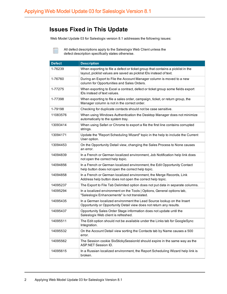#### **Issues Fixed in This Update**

Web Model Update 03 for Saleslogix version 8.1 addresses the following issues:

All defect descriptions apply to the Saleslogix Web Client unless the defect description specifically states otherwise.

| <b>Defect</b> | <b>Description</b>                                                                                                                                    |
|---------------|-------------------------------------------------------------------------------------------------------------------------------------------------------|
| 1-76239       | When exporting to file a defect or ticket group that contains a picklist in the<br>layout, picklist values are saved as picklist IDs instead of text. |
| 1-76760       | During an Export to File the Account Manager column is moved to a new<br>column for Opportunities and Sales Orders.                                   |
| 1-77275       | When exporting to Excel a contract, defect or ticket group some fields export<br>IDs instead of text values.                                          |
| 1-77398       | When exporting to file a sales order, campaign, ticket, or return group, the<br>Manager column is not in the correct order.                           |
| 1-79198       | Checking for duplicate contacts should not be case sensitive.                                                                                         |
| 11083576      | When using Windows Authentication the Desktop Manager does not minimize<br>automatically to the system tray.                                          |
| 13093414      | When using Safari or Chrome to export a file the first line contains corrupted<br>strings.                                                            |
| 13094171      | Update the "Report Scheduling Wizard" topic in the help to include the Current<br>User option.                                                        |
| 13094453      | On the Opportunity Detail view, changing the Sales Process to None causes<br>an error.                                                                |
| 14094839      | In a French or German localized environment, Job Notification help link does<br>not open the correct help topic.                                      |
| 14094856      | In a French or German localized environment, the Edit Opportunity Contact<br>help button does not open the correct help topic.                        |
| 14094858      | In a French or German localized environment, the Merge Records, Link<br>Address help button does not open the correct help topic.                     |
| 14095237      | The Export to File Tab Delimited option does not put data in separate columns.                                                                        |
| 14095294      | In a localized environment on the Tools   Options, General options tab,<br>"Saleslogix Enhancements" is not translated.                               |
| 14095435      | In a German localized environment the Lead Source lookup on the Insert<br>Opportunity or Opportunity Detail view does not return any results.         |
| 14095437      | Opportunity Sales Order Stage information does not update until the<br>Saleslogix Web client is refreshed.                                            |
| 14095511      | The Edit option should not be available under the Links tab for GoogleSync<br>Integration.                                                            |
| 14095532      | On the Account Detail view sorting the Contacts tab by Name causes a 500<br>error.                                                                    |
| 14095562      | The Session cookie SIxStickySessionId shouId expire in the same way as the<br>ASP.NET Session ID.                                                     |
| 14095615      | In a Russian localized environment, the Report Scheduling Wizard help link is<br>broken.                                                              |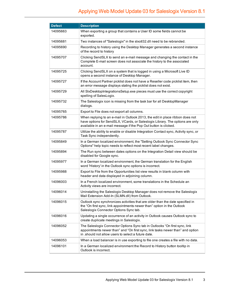| <b>Defect</b> | <b>Description</b>                                                                                                                                                                                                                 |
|---------------|------------------------------------------------------------------------------------------------------------------------------------------------------------------------------------------------------------------------------------|
| 14095663      | When exporting a group that contains a User ID some fields cannot be<br>exported.                                                                                                                                                  |
| 14095681      | Two instances of "Saleslogix" in the slxotl32.dll need to be rebranded.                                                                                                                                                            |
| 14095690      | Recording to history using the Desktop Manager generates a second instance<br>of the record to history                                                                                                                             |
| 14095707      | Clicking SendSLX to send an e-mail message and changing the contact in the<br>Complete E-mail screen does not associate the history to the associated<br>account.                                                                  |
| 14095725      | Clicking SendSLX on a system that is logged in using a Microsoft Live ID<br>opens a second instance of Desktop Manager.                                                                                                            |
| 14095727      | If the Account Partner picklist does not have a Reseller code picklist item, then<br>an error message displays stating the picklist does not exist.                                                                                |
| 14095729      | All SIxDesktopIntegrationsSetup.exe pieces must use the correct copyright<br>spelling of SalesLogix.                                                                                                                               |
| 14095732      | The Saleslogix icon is missing from the task bar for all DesktopManager<br>dialogs.                                                                                                                                                |
| 14095765      | Export to File does not export all columns.                                                                                                                                                                                        |
| 14095786      | When replying to an e-mail in Outlook 2013, the edit in place ribbon does not<br>have options for SendSLX, VCards, or Saleslogix Library. The options are only<br>available in an e-mail message if the Pop Out button is clicked. |
| 14095787      | Utilize the ability to enable or disable Integration Contact sync, Activity sync, or<br>Task Sync independently.                                                                                                                   |
| 14095849      | In a German localized environment, the "Setting Outlook Sync Connector Sync<br>Options" help topic needs to reflect most recent label changes.                                                                                     |
| 14095894      | The Run sync between dates options on the Integration Detail view should be<br>disabled for Google sync.                                                                                                                           |
| 14095977      | In a German localized environment, the German translation for the English<br>word 'History' in the Outlook sync options is incorrect.                                                                                              |
| 14095988      | Export to File from the Opportunities list view results in blank column with<br>header and data displayed in adjoining column.                                                                                                     |
| 14096003      | In a French localized environment, some translations in the Schedule an<br>Activity views are incorrect.                                                                                                                           |
| 14096014      | Uninstalling the Saleslogix Desktop Manager does not remove the Saleslogix<br>Mail Extension Add-In (SLMN.dll) from Outlook.                                                                                                       |
| 14096015      | Outlook sync synchronizes activities that are older than the date specified in<br>the "On first sync, link appointments newer than" option in the Outlook<br>Saleslogix Connector Options Sync tab.                                |
| 14096016      | Updating a single occurrence of an activity in Outlook causes Outlook sync to<br>create duplicate meetings in Saleslogix.                                                                                                          |
| 14096052      | The Saleslogix Connector Options Sync tab in Outlooks "On first sync, link<br>appointments newer than" and "On first sync, link tasks newer than" and option<br>in should not allow users to select a future date.                 |
| 14096053      | When a load balancer is in use exporting to file one creates a file with no data.                                                                                                                                                  |
| 14096101      | In a German localized environment the Record to History button tooltip in<br>Outlook is incorrect.                                                                                                                                 |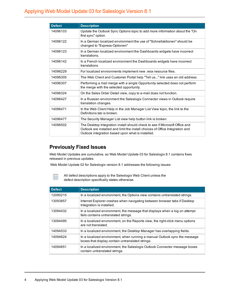| <b>Defect</b> | <b>Description</b>                                                                                                                                                                                                |
|---------------|-------------------------------------------------------------------------------------------------------------------------------------------------------------------------------------------------------------------|
| 14096103      | Update the Outlook Sync Options topic to add more information about the "On<br>first sync" option.                                                                                                                |
| 14096122      | In a German localized environment the use of "Schnellaktionen" should be<br>changed to "Express-Optionen"                                                                                                         |
| 14096123      | In a German localized environment the Dashboards widgets have incorrect<br>translations.                                                                                                                          |
| 14096142      | In a French localized environment the Dashboards widgets have incorrect<br>translations                                                                                                                           |
| 14096229      | For localized environments implement new resx resource files.                                                                                                                                                     |
| 14096305      | The Web Client and Customer Portal help "Tell us" link uses an old address.                                                                                                                                       |
| 14096307      | Performing a mail merge with a single Opportunity selected does not perform<br>the merge with the selected opportunity.                                                                                           |
| 14096324      | On the Sales Order Detail view, copy to e-mail does not function.                                                                                                                                                 |
| 14096427      | In a Russian environment the Saleslogix Connector views in Outlook require<br>translation changes.                                                                                                                |
| 14096471      | In the Web Client Help in the Job Manager List View topic, the link to the<br>Definitions tab is broken.                                                                                                          |
| 14096477      | The Security Manager List view help button link is broken.                                                                                                                                                        |
| 14096502      | The Desktop Integration install should check to see if Microsoft Office and<br>Outlook are installed and limit the install choices of Office Integration and<br>Outlook integration based upon what is installed. |

#### **Previously Fixed Issues**

Web Model Updates are cumulative, so Web Model Update 03 for Saleslogix 8.1 contains fixes released in previous updates.

Web Model Update 02 for Saleslogix version 8.1 addresses the following issues:



All defect descriptions apply to the Saleslogix Web Client unless the defect description specifically states otherwise.

| <b>Defect</b> | <b>Description</b>                                                                                                             |
|---------------|--------------------------------------------------------------------------------------------------------------------------------|
| 12090215      | In a localized environment, the Options view contains untranslated strings.                                                    |
| 13093857      | Internet Explorer crashes when navigating between browser tabs if Desktop<br>Integration is installed.                         |
| 13094432      | In a localized environment, the message that displays when a log on attempt<br>fails contains untranslated strings.            |
| 13094495      | In a localized environment, on the Reports view, the right-click menu options<br>are not translated.                           |
| 14094533      | In a localized environment, the Desktop Manager has overlapping fields.                                                        |
| 14094624      | In a localized environment, when running a manual Outlook sync the message<br>boxes that display contain untranslated strings. |
| 14094651      | In a localized environment, the Saleslogix Outlook Connector message boxes<br>contain untranslated strings.                    |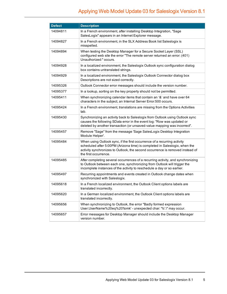| <b>Defect</b> | <b>Description</b>                                                                                                                                                                                                                                               |
|---------------|------------------------------------------------------------------------------------------------------------------------------------------------------------------------------------------------------------------------------------------------------------------|
| 14094811      | In a French environment, after installing Desktop Integration, "Sage<br>SalesLogix" appears in an Internet Explorer message.                                                                                                                                     |
| 14094827      | In a French environment, in the SLX Address Book list Saleslogix is<br>misspelled.                                                                                                                                                                               |
| 14094894      | When testing the Desktop Manager for a Secure Socket Layer (SSL)<br>configured web site the error "The remote server returned an error: (401)<br>Unauthorized:" occurs.                                                                                          |
| 14094928      | In a localized environment, the Saleslogix Outlook sync configuration dialog<br>box contains untranslated strings.                                                                                                                                               |
| 14094929      | In a localized environment, the Saleslogix Outlook Connector dialog box<br>Descriptions are not sized correctly.                                                                                                                                                 |
| 14095326      | Outlook Connector error messages should include the version number.                                                                                                                                                                                              |
| 14095377      | In a lookup, sorting on the key property should not be permitted.                                                                                                                                                                                                |
| 14095411      | When synchronizing calendar items that contain an '&' and have over 64<br>characters in the subject, an Internal Server Error:500 occurs.                                                                                                                        |
| 14095424      | In a French environment, translations are missing from the Options Activities<br>tab.                                                                                                                                                                            |
| 14095430      | Synchronizing an activity back to Saleslogix from Outlook using Outlook sync<br>causes the following SData error in the event log: "Row was updated or<br>deleted by another transaction (or unsaved-value mapping was incorrect".                               |
| 14095457      | Remove "Sage" from the message 'Sage SalesLogix Desktop Integration<br>Module Helper'.                                                                                                                                                                           |
| 14095484      | When using Outlook sync, if the first occurrence of a recurring activity<br>scheduled after 5:00PM (Arizona time) is completed in Saleslogix, when the<br>activity synchronizes to Outlook, the second occurrence is removed instead of<br>the first occurrence. |
| 14095485      | After completing several occurrences of a recurring activity, and synchronizing<br>to Outlook between each one, synchronizing from Outlook will trigger the<br>incomplete instances of the activity to reschedule a day or so earlier.                           |
| 14095497      | Recurring appointments and events created in Outlook change dates when<br>synchronized with Saleslogix.                                                                                                                                                          |
| 14095618      | In a French localized environment, the Outlook Client options labels are<br>translated incorrectly.                                                                                                                                                              |
| 14095620      | In a German localized environment, the Outlook Client options labels are<br>translated incorrectly.                                                                                                                                                              |
| 14095656      | When synchronizing to Outlook, the error "Badly formed expression<br>User.UserName%20eq%20'tomk' - unexpected char: '%'.\" may occur.                                                                                                                            |
| 14095657      | Error messages for Desktop Manager should include the Desktop Manager<br>version number.                                                                                                                                                                         |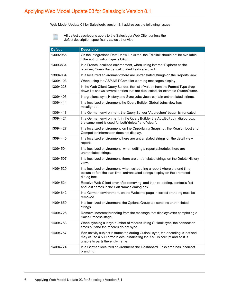Web Model Update 01 for Saleslogix version 8.1 addresses the following issues:

Ë

All defect descriptions apply to the Saleslogix Web Client unless the defect description specifically states otherwise.

| <b>Defect</b> | <b>Description</b>                                                                                                                                                                                 |
|---------------|----------------------------------------------------------------------------------------------------------------------------------------------------------------------------------------------------|
| 13092955      | On the Integrations Detail view Links tab, the Edit link should not be available<br>if the authorization type is OAuth.                                                                            |
| 13093834      | In a French localized environment, when using Internet Explorer as the<br>browser, Query Builder calculated fields are blank.                                                                      |
| 13094064      | In a localized environment there are untranslated strings on the Reports view.                                                                                                                     |
| 13094103      | When using the ASP.NET Compiler warning messages display.                                                                                                                                          |
| 13094228      | In the Web Client Query Builder, the list of values from the Format Type drop<br>down list shows several entries that are duplicated, for example OwnerOwner.                                      |
| 13094403      | Integrations, sync History and Sync Jobs views contain untranslated strings.                                                                                                                       |
| 13094414      | In a localized environment the Query Builder Global Joins view has<br>misaligned.                                                                                                                  |
| 13094418      | In a German environment, the Query Builder "Abbrechen" button is truncated.                                                                                                                        |
| 13094421      | In a German environment, in the Query Builder the Add/Edit Join dialog box,<br>the same word is used for both"delete" and "clear".                                                                 |
| 13094427      | In a localized environment, on the Opportunity Snapshot, the Reason Lost and<br>Competitor information does not display.                                                                           |
| 13094445      | In a localized environment there are untranslated strings on the detail view<br>reports.                                                                                                           |
| 13094504      | In a localized environment,, when editing a report schedule, there are<br>untranslated strings.                                                                                                    |
| 13094507      | In a localized environment, there are untranslated strings on the Delete History<br>view.                                                                                                          |
| 14094520      | In a localized environment, when scheduling a report where the end time<br>occurs before the start time, untranslated strings display on the promoted<br>dialog box.                               |
| 14094524      | Receive Web Client error after removing, and then re-adding, contact's first<br>and last names in the Edit Names dialog box.                                                                       |
| 14094642      | In a German environment, on the Welcome page incorrect branding must be<br>removed.                                                                                                                |
| 14094650      | In a localized environment, the Options Group tab contains untranslated<br>strings.                                                                                                                |
| 14094726      | Remove incorrect branding from the message that displays after completing a<br>Sales Process stage.                                                                                                |
| 14094753      | When syncing a large number of records using Outlook sync, the connection<br>times out and the records do not sync.                                                                                |
| 14094757      | If an activity subject is truncated during Outlook sync, the encoding is lost and<br>may cause a 500 error to occur indicating the XML is corrupt and so it is<br>unable to parts the entity name. |
| 14094774      | In a German localized environment, the Dashboard Links area has incorrect<br>branding.                                                                                                             |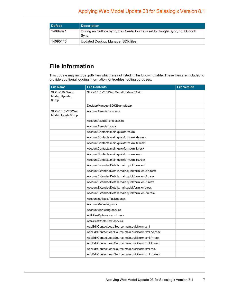| Defect   | <b>Description</b>                                                                   |
|----------|--------------------------------------------------------------------------------------|
| 14094871 | During an Outlook sync, the CreateSource is set to Google Sync, not Outlook<br>Sync. |
| 14095116 | Updated Desktop Manager SDK files.                                                   |

## **File Information**

This update may include .pdb files which are not listed in the following table. These files are included to provide additional logging information for troubleshooting purposes.

| <b>File Name</b>                          | <b>File Contents</b>                                | <b>File Version</b> |
|-------------------------------------------|-----------------------------------------------------|---------------------|
| SLX_v810_Web_<br>Model_Update_<br>03.zip  | SLX v8.1.0 VFS Web Model Update 03.zip              |                     |
|                                           | DesktopManagerSDKExample.zip                        |                     |
| SLX v8.1.0 VFS Web<br>Model Update 03.zip | AccountAssociations.ascx                            |                     |
|                                           | AccountAssociations.ascx.cs                         |                     |
|                                           | AccountAssociations.js                              |                     |
|                                           | AccountContacts.main.quickform.xml                  |                     |
|                                           | AccountContacts.main.quickform.xml.de.resx          |                     |
|                                           | AccountContacts.main.quickform.xml.fr.resx          |                     |
|                                           | AccountContacts.main.quickform.xml.it.resx          |                     |
|                                           | AccountContacts.main.quickform.xml.resx             |                     |
|                                           | AccountContacts.main.quickform.xml.ru.resx          |                     |
|                                           | AccountExtendedDetails.main.quickform.xml           |                     |
|                                           | AccountExtendedDetails.main.quickform.xml.de.resx   |                     |
|                                           | AccountExtendedDetails.main.quickform.xml.fr.resx   |                     |
|                                           | AccountExtendedDetails.main.quickform.xml.it.resx   |                     |
|                                           | AccountExtendedDetails.main.quickform.xml.resx      |                     |
|                                           | AccountExtendedDetails.main.quickform.xml.ru.resx   |                     |
|                                           | AccountingTasksTasklet.ascx                         |                     |
|                                           | AccountMarketing.ascx                               |                     |
|                                           | AccountMarketing.ascx.cs                            |                     |
|                                           | ActivitiesOptions.ascx.fr.resx                      |                     |
|                                           | ActivitiesWhatsNew.ascx.cs                          |                     |
|                                           | AddEditContactLeadSource.main.quickform.xml         |                     |
|                                           | AddEditContactLeadSource.main.quickform.xml.de.resx |                     |
|                                           | AddEditContactLeadSource.main.quickform.xml.fr.resx |                     |
|                                           | AddEditContactLeadSource.main.quickform.xml.it.resx |                     |
|                                           | AddEditContactLeadSource.main.quickform.xml.resx    |                     |
|                                           | AddEditContactLeadSource.main.quickform.xml.ru.resx |                     |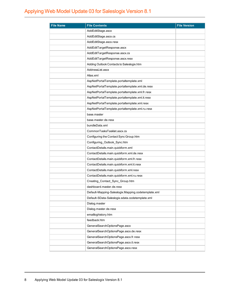| <b>File Name</b> | <b>File Contents</b>                                | <b>File Version</b> |
|------------------|-----------------------------------------------------|---------------------|
|                  | AddEditStage.ascx                                   |                     |
|                  | AddEditStage.ascx.cs                                |                     |
|                  | AddEditStage.ascx.resx                              |                     |
|                  | AddEditTargetResponse.ascx                          |                     |
|                  | AddEditTargetResponse.ascx.cs                       |                     |
|                  | AddEditTargetResponse.ascx.resx                     |                     |
|                  | Adding Outlook Contacts to Saleslogix.htm           |                     |
|                  | AddressList.ascx                                    |                     |
|                  | Alias.xml                                           |                     |
|                  | AspNetPortalTemplate.portaltemplate.xml             |                     |
|                  | AspNetPortalTemplate.portaltemplate.xml.de.resx     |                     |
|                  | AspNetPortalTemplate.portaltemplate.xml.fr.resx     |                     |
|                  | AspNetPortalTemplate.portaltemplate.xml.it.resx     |                     |
|                  | AspNetPortalTemplate.portaltemplate.xml.resx        |                     |
|                  | AspNetPortalTemplate.portaltemplate.xml.ru.resx     |                     |
|                  | base.master                                         |                     |
|                  | base master de resx                                 |                     |
|                  | bundleData.xml                                      |                     |
|                  | CommonTasksTasklet.ascx.cs                          |                     |
|                  | Configuring the Contact Sync Group.htm              |                     |
|                  | Configuring_Outlook_Sync.htm                        |                     |
|                  | ContactDetails.main.quickform.xml                   |                     |
|                  | ContactDetails.main.quickform.xml.de.resx           |                     |
|                  | ContactDetails.main.quickform.xml.fr.resx           |                     |
|                  | ContactDetails.main.quickform.xml.it.resx           |                     |
|                  | ContactDetails.main.quickform.xml.resx              |                     |
|                  | ContactDetails.main.quickform.xml.ru.resx           |                     |
|                  | Creating_Contact_Sync_Group.htm                     |                     |
|                  | dashboard.master.de.resx                            |                     |
|                  | Default-Mapping-Saleslogix.Mapping.codetemplate.xml |                     |
|                  | Default-SData-Saleslogix.sdata.codetemplate.xml     |                     |
|                  | Dialog.master                                       |                     |
|                  | Dialog.master.de.resx                               |                     |
|                  | emailloghistory.htm                                 |                     |
|                  | feedback.htm                                        |                     |
|                  | GeneralSearchOptionsPage.ascx                       |                     |
|                  | GeneralSearchOptionsPage.ascx.de.resx               |                     |
|                  | GeneralSearchOptionsPage.ascx.fr.resx               |                     |
|                  | GeneralSearchOptionsPage.ascx.it.resx               |                     |
|                  | GeneralSearchOptionsPage.ascx.resx                  |                     |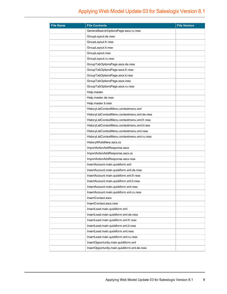| <b>File Name</b> | <b>File Contents</b>                           | <b>File Version</b> |
|------------------|------------------------------------------------|---------------------|
|                  | GeneralSearchOptionsPage.ascx.ru.resx          |                     |
|                  | GroupLayout.de.resx                            |                     |
|                  | GroupLayout.fr.resx                            |                     |
|                  | GroupLayout.it.resx                            |                     |
|                  | GroupLayout.resx                               |                     |
|                  | GroupLayout.ru.resx                            |                     |
|                  | GroupTabOptionsPage.ascx.de.resx               |                     |
|                  | GroupTabOptionsPage.ascx.fr.resx               |                     |
|                  | GroupTabOptionsPage.ascx.it.resx               |                     |
|                  | GroupTabOptionsPage.ascx.resx                  |                     |
|                  | GroupTabOptionsPage.ascx.ru.resx               |                     |
|                  | Help.master                                    |                     |
|                  | Help.master.de.resx                            |                     |
|                  | Help.master.it.resx                            |                     |
|                  | HistoryListContextMenu.contextmenu.xml         |                     |
|                  | HistoryListContextMenu.contextmenu.xml.de.resx |                     |
|                  | HistoryListContextMenu.contextmenu.xml.fr.resx |                     |
|                  | HistoryListContextMenu.contextmenu.xml.it.resx |                     |
|                  | HistoryListContextMenu.contextmenu.xml.resx    |                     |
|                  | HistoryListContextMenu.contextmenu.xml.ru.resx |                     |
|                  | HistoryWhatsNew.ascx.cs                        |                     |
|                  | ImportActionAddResponse.ascx                   |                     |
|                  | ImportActionAddResponse.ascx.cs                |                     |
|                  | ImportActionAddResponse.ascx.resx              |                     |
|                  | InsertAccount.main.quickform.xml               |                     |
|                  | InsertAccount.main.quickform.xml.de.resx       |                     |
|                  | InsertAccount.main.quickform.xml.fr.resx       |                     |
|                  | InsertAccount.main.quickform.xml.it.resx       |                     |
|                  | InsertAccount.main.quickform.xml.resx          |                     |
|                  | InsertAccount.main.quickform.xml.ru.resx       |                     |
|                  | InsertContact.ascx                             |                     |
|                  | InsertContact.ascx.resx                        |                     |
|                  | InsertLead.main.quickform.xml                  |                     |
|                  | InsertLead.main.quickform.xml.de.resx          |                     |
|                  | InsertLead.main.quickform.xml.fr.resx          |                     |
|                  | InsertLead.main.quickform.xml.it.resx          |                     |
|                  | InsertLead.main.quickform.xml.resx             |                     |
|                  | InsertLead.main.quickform.xml.ru.resx          |                     |
|                  | InsertOpportunity.main.quickform.xml           |                     |
|                  | InsertOpportunity.main.quickform.xml.de.resx   |                     |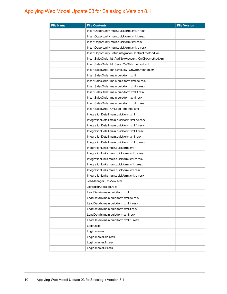| <b>File Name</b> | <b>File Contents</b>                                  | <b>File Version</b> |
|------------------|-------------------------------------------------------|---------------------|
|                  | InsertOpportunity.main.quickform.xml.fr.resx          |                     |
|                  | InsertOpportunity.main.quickform.xml.it.resx          |                     |
|                  | InsertOpportunity.main.quickform.xml.resx             |                     |
|                  | InsertOpportunity.main.quickform.xml.ru.resx          |                     |
|                  | InsertOpportunity.SetupIntegrationContract.method.xml |                     |
|                  | InsertSalesOrder.btnAddNewAccount OnClick.method.xml  |                     |
|                  | InsertSalesOrder.btnSave_OnClick.method.xml           |                     |
|                  | InsertSalesOrder.btnSaveNew_OnClick.method.xml        |                     |
|                  | InsertSalesOrder.main.quickform.xml                   |                     |
|                  | InsertSalesOrder.main.quickform.xml.de.resx           |                     |
|                  | InsertSalesOrder.main.quickform.xml.fr.resx           |                     |
|                  | InsertSalesOrder.main.quickform.xml.it.resx           |                     |
|                  | InsertSalesOrder.main.quickform.xml.resx              |                     |
|                  | InsertSalesOrder.main.quickform.xml.ru.resx           |                     |
|                  | InsertSalesOrder.OnLoad1.method.xml                   |                     |
|                  | IntegrationDetail.main.quickform.xml                  |                     |
|                  | IntegrationDetail.main.quickform.xml.de.resx          |                     |
|                  | IntegrationDetail.main.quickform.xml.fr.resx          |                     |
|                  | IntegrationDetail.main.quickform.xml.it.resx          |                     |
|                  | IntegrationDetail.main.quickform.xml.resx             |                     |
|                  | IntegrationDetail.main.quickform.xml.ru.resx          |                     |
|                  | IntegrationLinks.main.quickform.xml                   |                     |
|                  | IntegrationLinks.main.quickform.xml.de.resx           |                     |
|                  | IntegrationLinks.main.quickform.xml.fr.resx           |                     |
|                  | IntegrationLinks.main.quickform.xml.it.resx           |                     |
|                  | IntegrationLinks.main.quickform.xml.resx              |                     |
|                  | IntegrationLinks.main.quickform.xml.ru.resx           |                     |
|                  | Job Manager List View.htm                             |                     |
|                  | JoinEditor ascx de resx                               |                     |
|                  | LeadDetails.main.quickform.xml                        |                     |
|                  | LeadDetails.main.quickform.xml.de.resx                |                     |
|                  | LeadDetails.main.quickform.xml.fr.resx                |                     |
|                  | LeadDetails.main.quickform.xml.it.resx                |                     |
|                  | LeadDetails.main.quickform.xml.resx                   |                     |
|                  | LeadDetails.main.quickform.xml.ru.resx                |                     |
|                  | Login.aspx                                            |                     |
|                  | Login.master                                          |                     |
|                  | Login.master.de.resx                                  |                     |
|                  | Login.master.fr.resx                                  |                     |
|                  | Login.master.it.resx                                  |                     |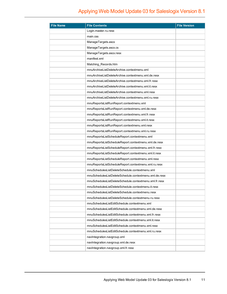| <b>File Name</b> | <b>File Contents</b>                                   | <b>File Version</b> |
|------------------|--------------------------------------------------------|---------------------|
|                  | Login.master.ru.resx                                   |                     |
|                  | main.css                                               |                     |
|                  | ManageTargets.ascx                                     |                     |
|                  | ManageTargets.ascx.cs                                  |                     |
|                  | ManageTargets.ascx.resx                                |                     |
|                  | manifest.xml                                           |                     |
|                  | Matching_Records.htm                                   |                     |
|                  | mnuArchiveListDeleteArchive.contextmenu.xml            |                     |
|                  | mnuArchiveListDeleteArchive.contextmenu.xml.de.resx    |                     |
|                  | mnuArchiveListDeleteArchive.contextmenu.xml.fr.resx    |                     |
|                  | mnuArchiveListDeleteArchive.contextmenu.xml.it.resx    |                     |
|                  | mnuArchiveListDeleteArchive.contextmenu.xml.resx       |                     |
|                  | mnuArchiveListDeleteArchive.contextmenu.xml.ru.resx    |                     |
|                  | mnuReportsListRunReport.contextmenu.xml                |                     |
|                  | mnuReportsListRunReport.contextmenu.xml.de.resx        |                     |
|                  | mnuReportsListRunReport.contextmenu.xml.fr.resx        |                     |
|                  | mnuReportsListRunReport.contextmenu.xml.it.resx        |                     |
|                  | mnuReportsListRunReport.contextmenu.xml.resx           |                     |
|                  | mnuReportsListRunReport.contextmenu.xml.ru.resx        |                     |
|                  | mnuReportsListScheduleReport.contextmenu.xml           |                     |
|                  | mnuReportsListScheduleReport.contextmenu.xml.de.resx   |                     |
|                  | mnuReportsListScheduleReport.contextmenu.xml.fr.resx   |                     |
|                  | mnuReportsListScheduleReport.contextmenu.xml.it.resx   |                     |
|                  | mnuReportsListScheduleReport.contextmenu.xml.resx      |                     |
|                  | mnuReportsListScheduleReport.contextmenu.xml.ru.resx   |                     |
|                  | mnuSchedulesListDeleteSchedule.contextmenu.xml         |                     |
|                  | mnuSchedulesListDeleteSchedule.contextmenu.xml.de.resx |                     |
|                  | mnuSchedulesListDeleteSchedule.contextmenu.xml.fr.resx |                     |
|                  | mnuSchedulesListDeleteSchedule.contextmenu.it.resx     |                     |
|                  | mnuSchedulesListDeleteSchedule.contextmenu.resx        |                     |
|                  | mnuSchedulesListDeleteSchedule.contextmenu.ru.resx     |                     |
|                  | mnuSchedulesListEditSchedule.contextmenu.xml           |                     |
|                  | mnuSchedulesListEditSchedule.contextmenu.xml.de.resx   |                     |
|                  | mnuSchedulesListEditSchedule.contextmenu.xml.fr.resx   |                     |
|                  | mnuSchedulesListEditSchedule.contextmenu.xml.it.resx   |                     |
|                  | mnuSchedulesListEditSchedule.contextmenu.xml.resx      |                     |
|                  | mnuSchedulesListEditSchedule.contextmenu.xml.ru.resx   |                     |
|                  | navIntegration.navgroup.xml                            |                     |
|                  | navIntegration.navgroup.xml.de.resx                    |                     |
|                  | navIntegration.navgroup.xml.fr.resx                    |                     |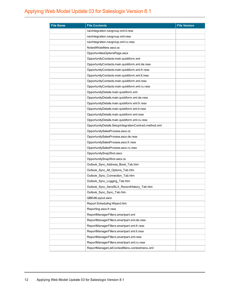| <b>File Name</b> | <b>File Contents</b>                                   | <b>File Version</b> |
|------------------|--------------------------------------------------------|---------------------|
|                  | navIntegration.navgroup.xml.it.resx                    |                     |
|                  | navIntegration.navgroup.xml.resx                       |                     |
|                  | navIntegration.navgroup.xml.ru.resx                    |                     |
|                  | NotesWhatsNew.ascx.cs                                  |                     |
|                  | OpportunitiesOptionsPage.ascx                          |                     |
|                  | OpportunityContacts.main.quickform.xml                 |                     |
|                  | OpportunityContacts.main.quickform.xml.de.resx         |                     |
|                  | OpportunityContacts.main.quickform.xml.fr.resx         |                     |
|                  | OpportunityContacts.main.quickform.xml.it.resx         |                     |
|                  | OpportunityContacts.main.quickform.xml.resx            |                     |
|                  | OpportunityContacts.main.quickform.xml.ru.resx         |                     |
|                  | OpportunityDetails.main.quickform.xml                  |                     |
|                  | OpportunityDetails.main.quickform.xml.de.resx          |                     |
|                  | OpportunityDetails.main.quickform.xml.fr.resx          |                     |
|                  | OpportunityDetails.main.quickform.xml.it.resx          |                     |
|                  | OpportunityDetails.main.quickform.xml.resx             |                     |
|                  | OpportunityDetails.main.quickform.xml.ru.resx          |                     |
|                  | OpportunityDetails.SetupIntegrationContract.method.xml |                     |
|                  | OpportunitySalesProcess.ascx.cs                        |                     |
|                  | OpportunitySalesProcess.ascx.de.resx                   |                     |
|                  | OpportunitySalesProcess.ascx.fr.resx                   |                     |
|                  | OpportunitySalesProcess.ascx.ru.resx                   |                     |
|                  | OpportunitySnapShot.ascx                               |                     |
|                  | OpportunitySnapShot.ascx.cs                            |                     |
|                  | Outlook_Sync_Address_Book_Tab.htm                      |                     |
|                  | Outlook_Sync_All_Options_Tab.htm                       |                     |
|                  | Outlook_Sync_Connection_Tab.htm                        |                     |
|                  | Outlook Sync Logging Tab.htm                           |                     |
|                  | Outlook_Sync_SendSLX_RecordHistory_Tab.htm             |                     |
|                  | Outlook_Sync_Sync_Tab.htm                              |                     |
|                  | QBEditLayout.ascx                                      |                     |
|                  | Report Scheduling Wizard.htm                           |                     |
|                  | Reporting.ascx.fr.resx                                 |                     |
|                  | ReportManagerFilters.smartpart.xml                     |                     |
|                  | ReportManagerFilters.smartpart.xml.de.resx             |                     |
|                  | ReportManagerFilters.smartpart.xml.fr.resx             |                     |
|                  | ReportManagerFilters.smartpart.xml.it.resx             |                     |
|                  | ReportManagerFilters.smartpart.xml.resx                |                     |
|                  | ReportManagerFilters.smartpart.xml.ru.resx             |                     |
|                  | ReportManagerListContextMenu.contextmenu.xml           |                     |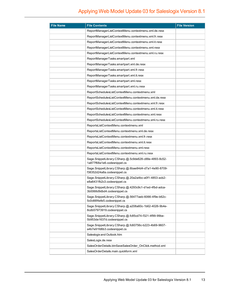| <b>File Name</b> | <b>File Contents</b>                                                                 | <b>File Version</b> |
|------------------|--------------------------------------------------------------------------------------|---------------------|
|                  | ReportManagerListContextMenu.contextmenu.xml.de.resx                                 |                     |
|                  | ReportManagerListContextMenu.contextmenu.xml.fr.resx                                 |                     |
|                  | ReportManagerListContextMenu.contextmenu.xml.it.resx                                 |                     |
|                  | ReportManagerListContextMenu.contextmenu.xml.resx                                    |                     |
|                  | ReportManagerListContextMenu.contextmenu.xml.ru.resx                                 |                     |
|                  | ReportManagerTasks.smartpart.xml                                                     |                     |
|                  | ReportManagerTasks.smartpart.xml.de.resx                                             |                     |
|                  | ReportManagerTasks.smartpart.xml.fr.resx                                             |                     |
|                  | ReportManagerTasks.smartpart.xml.it.resx                                             |                     |
|                  | ReportManagerTasks.smartpart.xml.resx                                                |                     |
|                  | ReportManagerTasks.smartpart.xml.ru.resx                                             |                     |
|                  | ReportSchedulesListContextMenu.contextmenu.xml                                       |                     |
|                  | ReportSchedulesListContextMenu.contextmenu.xml.de.resx                               |                     |
|                  | ReportSchedulesListContextMenu.contextmenu.xml.fr.resx                               |                     |
|                  | ReportSchedulesListContextMenu.contextmenu.xml.it.resx                               |                     |
|                  | ReportSchedulesListContextMenu.contextmenu.xml.resx                                  |                     |
|                  | ReportSchedulesListContextMenu.contextmenu.xml.ru.resx                               |                     |
|                  | ReportsListContextMenu.contextmenu.xml                                               |                     |
|                  | ReportsListContextMenu.contextmenu.xml.de.resx                                       |                     |
|                  | ReportsListContextMenu.contextmenu.xml.fr.resx                                       |                     |
|                  | ReportsListContextMenu.contextmenu.xml.it.resx                                       |                     |
|                  | ReportsListContextMenu.contextmenu.xml.resx                                          |                     |
|                  | ReportsListContextMenu.contextmenu.xml.ru.resx                                       |                     |
|                  | Sage.SnippetLibrary.CSharp.@.5c9de628-c88e-4893-8c52-<br>1a877f68a1e6.codesnippet.cs |                     |
|                  | Sage.SnippetLibrary.CSharp.@.6bae84d4-d7a1-4e90-8709-<br>f38352d24a8a.codesnippet.cs |                     |
|                  | Sage.SnippetLibrary.CSharp.@.20a2a4bc-a0f1-4853-acb2-<br>e8a6431fb2c3.codesnippet.cs |                     |
|                  | Sage.SnippetLibrary.CSharp.@.4293c9c1-d1ed-4fbd-adca-<br>3b0068d9dbd4.codesnippet.cs |                     |
|                  | Sage.SnippetLibrary.CSharp.@.56477aeb-6066-4f9e-b62c-<br>5c0c66f4efe5.codesnippet.cs |                     |
|                  | Sage.SnippetLibrary.CSharp.@.a208a60c-1b62-4026-9b4e-<br>8cdb57973919.codesnippet.cs |                     |
|                  | Sage.SnippetLibrary.CSharp.@.fc85cd74-f321-4f99-99be-<br>5b953de1637d.codesnippet.cs |                     |
|                  | Sage.SnippetLibrary.CSharp.@.fc60756c-b223-4b69-9607-<br>a4b7e91fd6b3.codesnippet.cs |                     |
|                  | Saleslogix and Outlook.htm                                                           |                     |
|                  | SalesLogix.de.resx                                                                   |                     |
|                  | SalesOrderDetails.btnSaveSalesOrder_OnClick.method.xml                               |                     |
|                  | SalesOrderDetails.main.quickform.xml                                                 |                     |
|                  |                                                                                      |                     |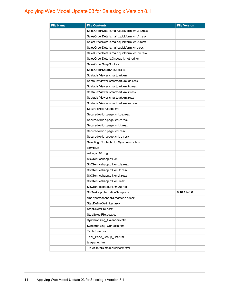| <b>File Name</b> | <b>File Contents</b>                         | <b>File Version</b> |
|------------------|----------------------------------------------|---------------------|
|                  | SalesOrderDetails.main.quickform.xml.de.resx |                     |
|                  | SalesOrderDetails.main.quickform.xml.fr.resx |                     |
|                  | SalesOrderDetails.main.quickform.xml.it.resx |                     |
|                  | SalesOrderDetails.main.quickform.xml.resx    |                     |
|                  | SalesOrderDetails.main.quickform.xml.ru.resx |                     |
|                  | SalesOrderDetails.OnLoad1.method.xml         |                     |
|                  | SalesOrderSnapShot.ascx                      |                     |
|                  | SalesOrderSnapShot.ascx.cs                   |                     |
|                  | SdataListViewer.smartpart.xml                |                     |
|                  | SdataListViewer.smartpart.xml.de.resx        |                     |
|                  | SdataListViewer.smartpart.xml.fr.resx        |                     |
|                  | SdataListViewer.smartpart.xml.it.resx        |                     |
|                  | SdataListViewer.smartpart.xml.resx           |                     |
|                  | SdataListViewer.smartpart.xml.ru.resx        |                     |
|                  | SecuredAction.page.xml                       |                     |
|                  | SecuredAction.page.xml.de.resx               |                     |
|                  | SecuredAction.page.xml.fr.resx               |                     |
|                  | SecuredAction.page.xml.it.resx               |                     |
|                  | SecuredAction.page.xml.resx                  |                     |
|                  | SecuredAction.page.xml.ru.resx               |                     |
|                  | Selecting_Contacts_to_Synchronize.htm        |                     |
|                  | service.js                                   |                     |
|                  | settings_16.png                              |                     |
|                  | SixClient.cabapp.ptl.xml                     |                     |
|                  | SixClient.cabapp.ptl.xml.de.resx             |                     |
|                  | SixClient.cabapp.ptl.xml.fr.resx             |                     |
|                  | SixClient.cabapp.ptl.xml.it.resx             |                     |
|                  | SixClient.cabapp.ptl.xml.resx                |                     |
|                  | SixClient.cabapp.ptl.xml.ru.resx             |                     |
|                  | SIxDesktopIntegrationSetup.exe               | 8.10.1146.0         |
|                  | smartpartdashboard.master.de.resx            |                     |
|                  | StepDefineDelimiter.ascx                     |                     |
|                  | StepSelectFile.ascx                          |                     |
|                  | StepSelectFile.ascx.cs                       |                     |
|                  | Synchronizing_Calendars.htm                  |                     |
|                  | Synchronizing_Contacts.htm                   |                     |
|                  | TableStyle.css                               |                     |
|                  | Task_Pane_Group_List.htm                     |                     |
|                  | taskpane.htm                                 |                     |
|                  | TicketDetails.main.quickform.xml             |                     |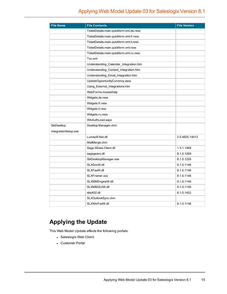| <b>File Name</b>     | <b>File Contents</b>                     | <b>File Version</b> |
|----------------------|------------------------------------------|---------------------|
|                      | TicketDetails.main.quickform.xml.de.resx |                     |
|                      | TicketDetails.main.quickform.xml.fr.resx |                     |
|                      | TicketDetails.main.quickform.xml.it.resx |                     |
|                      | TicketDetails.main.quickform.xml.resx    |                     |
|                      | TicketDetails.main.quickform.xml.ru.resx |                     |
|                      | Toc.xml                                  |                     |
|                      | Understanding_Calendar_Integration.htm   |                     |
|                      | Understanding_Contact_Integration.htm    |                     |
|                      | Understanding_Email_Integration.htm      |                     |
|                      | UpdateOpportunityCurrency.ascx           |                     |
|                      | Using_External_Integrations.htm          |                     |
|                      | WebForms.mcwebhelp                       |                     |
|                      | Widgets.de.resx                          |                     |
|                      | Widgets.fr.resx                          |                     |
|                      | Widgets.it.resx                          |                     |
|                      | Widgets.ru.resx                          |                     |
|                      | WinAuthLoad.aspx                         |                     |
| SixDesktop           | Desktop Manager.chm                      |                     |
| IntegrationSetup.exe |                                          |                     |
|                      | Lumisoft Net.dll                         | 2.0.4825.14012      |
|                      | MailMerge.chm                            |                     |
|                      | Sage.SData.Client.dll                    | 1.3.1.1468          |
|                      | sagegears.dll                            | 8.1.0.1269          |
|                      | SIxDesktopManager.exe                    | 8.1.0.1226          |
|                      | SLXDocW.dll                              | 8.1.0.1146          |
|                      | SLXFaxW.dll                              | 8.1.0.1146          |
|                      | SLXFramer.ocx                            | 8.1.0.1146          |
|                      | SLXMMEngineW.dll                         | 8.1.0.1146          |
|                      | SLXMMGUIW.dll                            | 8.1.0.1146          |
|                      | sixoti32.dll                             | 8.1.0.1422          |
|                      | SLXOutlookSync.chm                       |                     |
|                      | SLXWinFaxW.dll                           | 8.1.0.1146          |

## **Applying the Update**

This Web Model Update affects the following portals:

- Saleslogix Web Client
- Customer Portal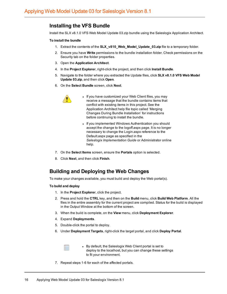#### **Installing the VFS Bundle**

Install the SLX v8.1.0 VFS Web Model Update 03.zip bundle using the Saleslogix Application Architect.

#### **To install the bundle**

- 1. Extract the contents of the **SLX\_v810\_Web\_Model\_Update\_03.zip** file to a temporary folder.
- 2. Ensure you have **Write** permissions to the bundle installation folder. Check permissions on the Security tab on the folder properties.
- 3. Open the **Application Architect**.
- 4. In the **Project Explorer**, right-click the project, and then click **Install Bundle**.
- 5. Navigate to the folder where you extracted the Update files, click **SLX v8.1.0 VFS Web Model Update 03.zip**, and then click **Open**.
- 6. On the **Select Bundle** screen, click **Next**.



- If you have customized your Web Client files, you may receive a message that the bundle contains items that conflict with existing items in this project. See the Application Architect help file topic called 'Merging Changes During Bundle Installation' for instructions before continuing to install the bundle.
- If you implemented Windows Authentication you should accept the change to the logoff.aspx page. It is no longer necessary to change the Login.aspx reference to the Default.aspx page as specified in the *Saleslogix Implementation Guide* or Administrator online help.
- 7. On the **Select Items** screen, ensure the **Portals** option is selected.
- 8. Click **Next**, and then click **Finish**.

#### **Building and Deploying the Web Changes**

To make your changes available, you must build and deploy the Web portal(s).

#### **To build and deploy**

- 1. In the **Project Explorer**, click the project.
- 2. Press and hold the **CTRL** key, and then on the **Build** menu, click **Build Web Platform**. All the files in the entire assembly for the current project are compiled. Status for the build is displayed in the Output Window at the bottom of the screen.
- 3. When the build is complete, on the **View** menu, click **Deployment Explorer**.
- 4. Expand **Deployments**.
- 5. Double-click the portal to deploy.
- 6. Under **Deployment Targets**, right-click the target portal, and click **Deploy Portal**.



- By default, the Saleslogix Web Client portal is set to deploy to the localhost, but you can change these settings to fit your environment.
- 7. Repeat steps 1-6 for each of the affected portals.